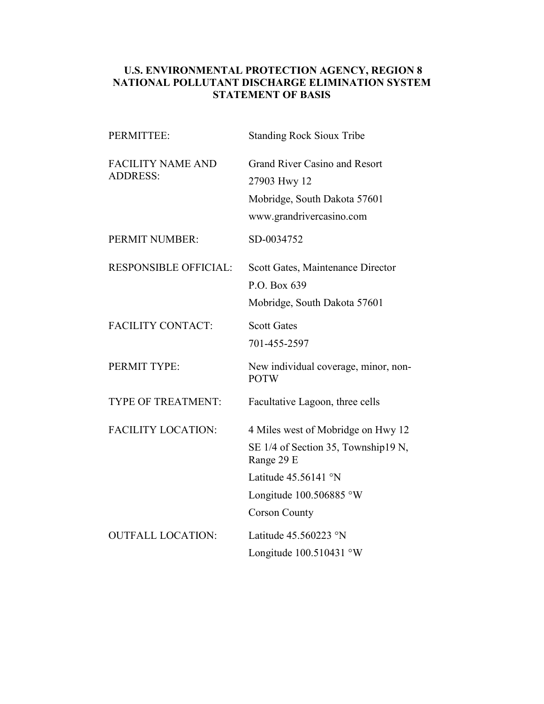## **U.S. ENVIRONMENTAL PROTECTION AGENCY, REGION 8 NATIONAL POLLUTANT DISCHARGE ELIMINATION SYSTEM STATEMENT OF BASIS**

| PERMITTEE:                                  | <b>Standing Rock Sioux Tribe</b>                                                                                                                                       |
|---------------------------------------------|------------------------------------------------------------------------------------------------------------------------------------------------------------------------|
| <b>FACILITY NAME AND</b><br><b>ADDRESS:</b> | <b>Grand River Casino and Resort</b><br>27903 Hwy 12<br>Mobridge, South Dakota 57601<br>www.grandrivercasino.com                                                       |
| PERMIT NUMBER:                              | SD-0034752                                                                                                                                                             |
| <b>RESPONSIBLE OFFICIAL:</b>                | Scott Gates, Maintenance Director<br>P.O. Box 639<br>Mobridge, South Dakota 57601                                                                                      |
| <b>FACILITY CONTACT:</b>                    | <b>Scott Gates</b><br>701-455-2597                                                                                                                                     |
| PERMIT TYPE:                                | New individual coverage, minor, non-<br><b>POTW</b>                                                                                                                    |
| <b>TYPE OF TREATMENT:</b>                   | Facultative Lagoon, three cells                                                                                                                                        |
| <b>FACILITY LOCATION:</b>                   | 4 Miles west of Mobridge on Hwy 12<br>SE 1/4 of Section 35, Township19 N,<br>Range 29 E<br>Latitude $45.56141$ °N<br>Longitude $100.506885$ °W<br><b>Corson County</b> |
| <b>OUTFALL LOCATION:</b>                    | Latitude $45.560223$ °N<br>Longitude $100.510431$ °W                                                                                                                   |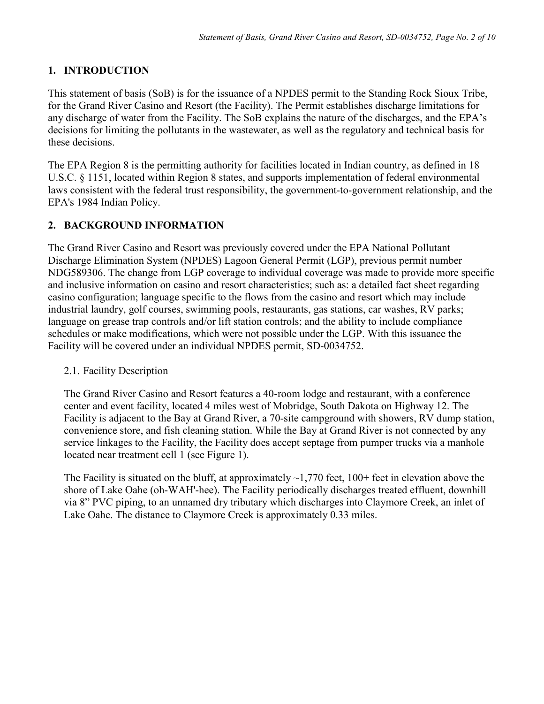# **1. INTRODUCTION**

This statement of basis (SoB) is for the issuance of a NPDES permit to the Standing Rock Sioux Tribe, for the Grand River Casino and Resort (the Facility). The Permit establishes discharge limitations for any discharge of water from the Facility. The SoB explains the nature of the discharges, and the EPA's decisions for limiting the pollutants in the wastewater, as well as the regulatory and technical basis for these decisions.

The EPA Region 8 is the permitting authority for facilities located in Indian country, as defined in 18 U.S.C. § 1151, located within Region 8 states, and supports implementation of federal environmental laws consistent with the federal trust responsibility, the government-to-government relationship, and the EPA's 1984 Indian Policy.

### **2. BACKGROUND INFORMATION**

The Grand River Casino and Resort was previously covered under the EPA National Pollutant Discharge Elimination System (NPDES) Lagoon General Permit (LGP), previous permit number NDG589306. The change from LGP coverage to individual coverage was made to provide more specific and inclusive information on casino and resort characteristics; such as: a detailed fact sheet regarding casino configuration; language specific to the flows from the casino and resort which may include industrial laundry, golf courses, swimming pools, restaurants, gas stations, car washes, RV parks; language on grease trap controls and/or lift station controls; and the ability to include compliance schedules or make modifications, which were not possible under the LGP. With this issuance the Facility will be covered under an individual NPDES permit, SD-0034752.

### 2.1. Facility Description

The Grand River Casino and Resort features a 40-room lodge and restaurant, with a conference center and event facility, located 4 miles west of Mobridge, South Dakota on Highway 12. The Facility is adjacent to the Bay at Grand River, a 70-site campground with showers, RV dump station, convenience store, and fish cleaning station. While the Bay at Grand River is not connected by any service linkages to the Facility, the Facility does accept septage from pumper trucks via a manhole located near treatment cell 1 (see Figure 1).

The Facility is situated on the bluff, at approximately  $\sim$ 1,770 feet, 100+ feet in elevation above the shore of Lake Oahe (oh-WAH'-hee). The Facility periodically discharges treated effluent, downhill via 8" PVC piping, to an unnamed dry tributary which discharges into Claymore Creek, an inlet of Lake Oahe. The distance to Claymore Creek is approximately 0.33 miles.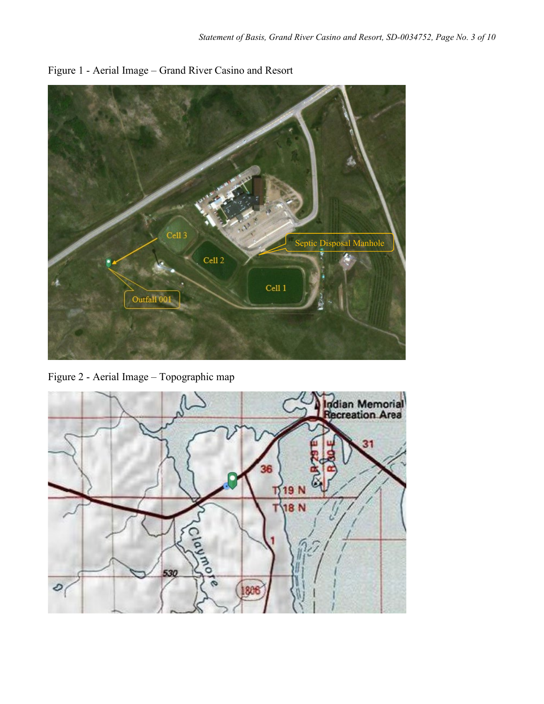

Figure 1 - Aerial Image – Grand River Casino and Resort

Figure 2 - Aerial Image – Topographic map

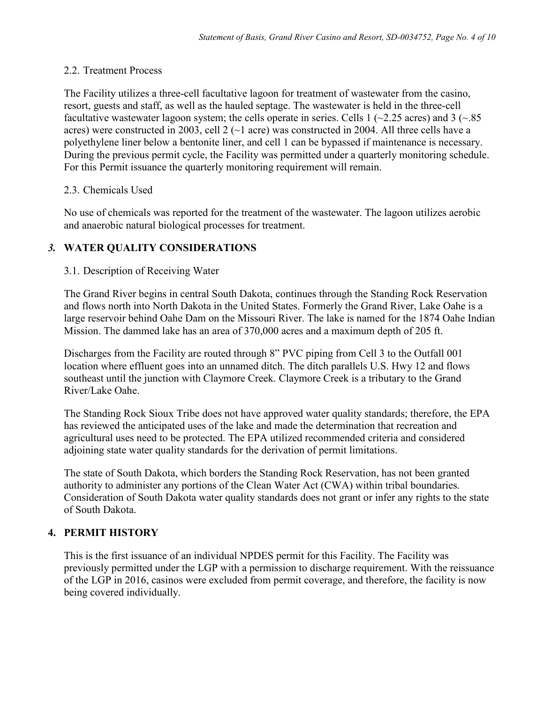#### 2.2. Treatment Process

The Facility utilizes a three-cell facultative lagoon for treatment of wastewater from the casino, resort, guests and staff, as well as the hauled septage. The wastewater is held in the three-cell facultative wastewater lagoon system; the cells operate in series. Cells 1 ( $\sim$ 2.25 acres) and 3 ( $\sim$ .85 acres) were constructed in 2003, cell 2 (~1 acre) was constructed in 2004. All three cells have a polyethylene liner below a bentonite liner, and cell 1 can be bypassed if maintenance is necessary. During the previous permit cycle, the Facility was permitted under a quarterly monitoring schedule. For this Permit issuance the quarterly monitoring requirement will remain.

#### 2.3. Chemicals Used

No use of chemicals was reported for the treatment of the wastewater. The lagoon utilizes aerobic and anaerobic natural biological processes for treatment.

### *3.* **WATER QUALITY CONSIDERATIONS**

### 3.1. Description of Receiving Water

The Grand River begins in central South Dakota, continues through the Standing Rock Reservation and flows north into North Dakota in the United States. Formerly the Grand River, Lake Oahe is a large reservoir behind Oahe Dam on the Missouri River. The lake is named for the 1874 Oahe Indian Mission. The dammed lake has an area of 370,000 acres and a maximum depth of 205 ft.

Discharges from the Facility are routed through 8" PVC piping from Cell 3 to the Outfall 001 location where effluent goes into an unnamed ditch. The ditch parallels U.S. Hwy 12 and flows southeast until the junction with Claymore Creek. Claymore Creek is a tributary to the Grand River/Lake Oahe.

The Standing Rock Sioux Tribe does not have approved water quality standards; therefore, the EPA has reviewed the anticipated uses of the lake and made the determination that recreation and agricultural uses need to be protected. The EPA utilized recommended criteria and considered adjoining state water quality standards for the derivation of permit limitations.

The state of South Dakota, which borders the Standing Rock Reservation, has not been granted authority to administer any portions of the Clean Water Act (CWA) within tribal boundaries. Consideration of South Dakota water quality standards does not grant or infer any rights to the state of South Dakota.

### **4. PERMIT HISTORY**

This is the first issuance of an individual NPDES permit for this Facility. The Facility was previously permitted under the LGP with a permission to discharge requirement. With the reissuance of the LGP in 2016, casinos were excluded from permit coverage, and therefore, the facility is now being covered individually.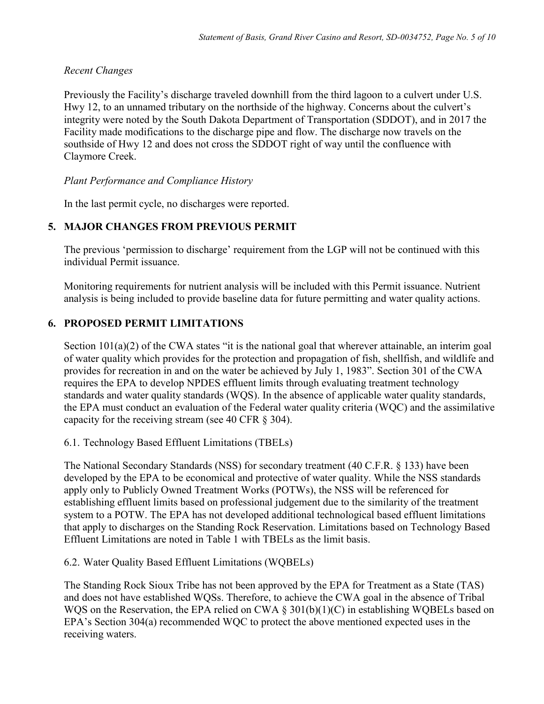### *Recent Changes*

Previously the Facility's discharge traveled downhill from the third lagoon to a culvert under U.S. Hwy 12, to an unnamed tributary on the northside of the highway. Concerns about the culvert's integrity were noted by the South Dakota Department of Transportation (SDDOT), and in 2017 the Facility made modifications to the discharge pipe and flow. The discharge now travels on the southside of Hwy 12 and does not cross the SDDOT right of way until the confluence with Claymore Creek.

*Plant Performance and Compliance History*

In the last permit cycle, no discharges were reported.

### **5. MAJOR CHANGES FROM PREVIOUS PERMIT**

The previous 'permission to discharge' requirement from the LGP will not be continued with this individual Permit issuance.

Monitoring requirements for nutrient analysis will be included with this Permit issuance. Nutrient analysis is being included to provide baseline data for future permitting and water quality actions.

# **6. PROPOSED PERMIT LIMITATIONS**

Section 101(a)(2) of the CWA states "it is the national goal that wherever attainable, an interim goal of water quality which provides for the protection and propagation of fish, shellfish, and wildlife and provides for recreation in and on the water be achieved by July 1, 1983". Section 301 of the CWA requires the EPA to develop NPDES effluent limits through evaluating treatment technology standards and water quality standards (WQS). In the absence of applicable water quality standards, the EPA must conduct an evaluation of the Federal water quality criteria (WQC) and the assimilative capacity for the receiving stream (see 40 CFR § 304).

6.1. Technology Based Effluent Limitations (TBELs)

The National Secondary Standards (NSS) for secondary treatment (40 C.F.R. § 133) have been developed by the EPA to be economical and protective of water quality. While the NSS standards apply only to Publicly Owned Treatment Works (POTWs), the NSS will be referenced for establishing effluent limits based on professional judgement due to the similarity of the treatment system to a POTW. The EPA has not developed additional technological based effluent limitations that apply to discharges on the Standing Rock Reservation. Limitations based on Technology Based Effluent Limitations are noted in Table 1 with TBELs as the limit basis.

6.2. Water Quality Based Effluent Limitations (WQBELs)

The Standing Rock Sioux Tribe has not been approved by the EPA for Treatment as a State (TAS) and does not have established WQSs. Therefore, to achieve the CWA goal in the absence of Tribal WQS on the Reservation, the EPA relied on CWA § 301(b)(1)(C) in establishing WQBELs based on EPA's Section 304(a) recommended WQC to protect the above mentioned expected uses in the receiving waters.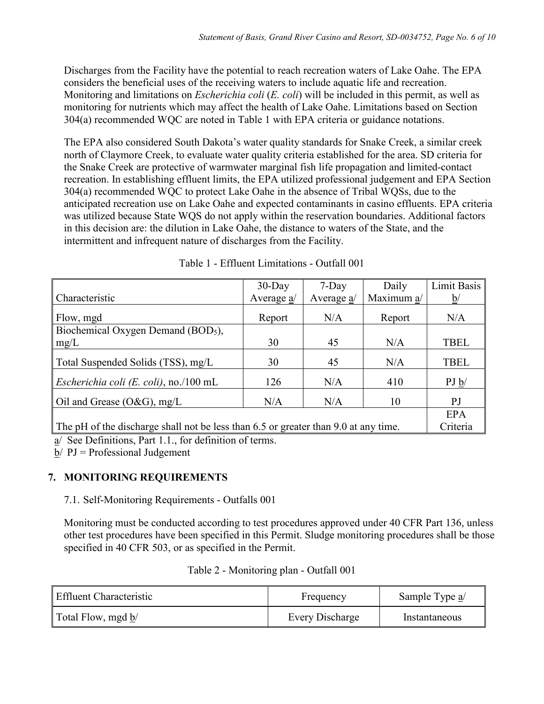Discharges from the Facility have the potential to reach recreation waters of Lake Oahe. The EPA considers the beneficial uses of the receiving waters to include aquatic life and recreation. Monitoring and limitations on *Escherichia coli* (*E. coli*) will be included in this permit, as well as monitoring for nutrients which may affect the health of Lake Oahe. Limitations based on Section 304(a) recommended WQC are noted in Table 1 with EPA criteria or guidance notations.

The EPA also considered South Dakota's water quality standards for Snake Creek, a similar creek north of Claymore Creek, to evaluate water quality criteria established for the area. SD criteria for the Snake Creek are protective of warmwater marginal fish life propagation and limited-contact recreation. In establishing effluent limits, the EPA utilized professional judgement and EPA Section 304(a) recommended WQC to protect Lake Oahe in the absence of Tribal WQSs, due to the anticipated recreation use on Lake Oahe and expected contaminants in casino effluents. EPA criteria was utilized because State WQS do not apply within the reservation boundaries. Additional factors in this decision are: the dilution in Lake Oahe, the distance to waters of the State, and the intermittent and infrequent nature of discharges from the Facility.

|                                                                                     | $30$ -Day  | $7-Day$    | Daily      | Limit Basis     |
|-------------------------------------------------------------------------------------|------------|------------|------------|-----------------|
| Characteristic                                                                      | Average a/ | Average a/ | Maximum a/ | $\underline{b}$ |
| Flow, mgd                                                                           | Report     | N/A        | Report     | N/A             |
| Biochemical Oxygen Demand (BOD <sub>5</sub> ),                                      |            |            |            |                 |
| mg/L                                                                                | 30         | 45         | N/A        | <b>TBEL</b>     |
| Total Suspended Solids (TSS), mg/L                                                  | 30         | 45         | N/A        | <b>TBEL</b>     |
| <i>Escherichia coli (E. coli)</i> , no./100 mL                                      | 126        | N/A        | 410        | PJ b/           |
| Oil and Grease (O&G), mg/L                                                          | N/A        | N/A        | 10         | P <sub>J</sub>  |
|                                                                                     |            |            |            | <b>EPA</b>      |
| The pH of the discharge shall not be less than 6.5 or greater than 9.0 at any time. |            |            |            | Criteria        |

| Table 1 - Effluent Limitations - Outfall 001 |
|----------------------------------------------|
|----------------------------------------------|

a/ See Definitions, Part 1.1., for definition of terms.

 $b/$  PJ = Professional Judgement

# **7. MONITORING REQUIREMENTS**

### 7.1. Self-Monitoring Requirements - Outfalls 001

Monitoring must be conducted according to test procedures approved under 40 CFR Part 136, unless other test procedures have been specified in this Permit. Sludge monitoring procedures shall be those specified in 40 CFR 503, or as specified in the Permit.

| Effluent Characteristic | Frequency       | Sample Type $a$ |
|-------------------------|-----------------|-----------------|
| Total Flow, mgd b/      | Every Discharge | Instantaneous   |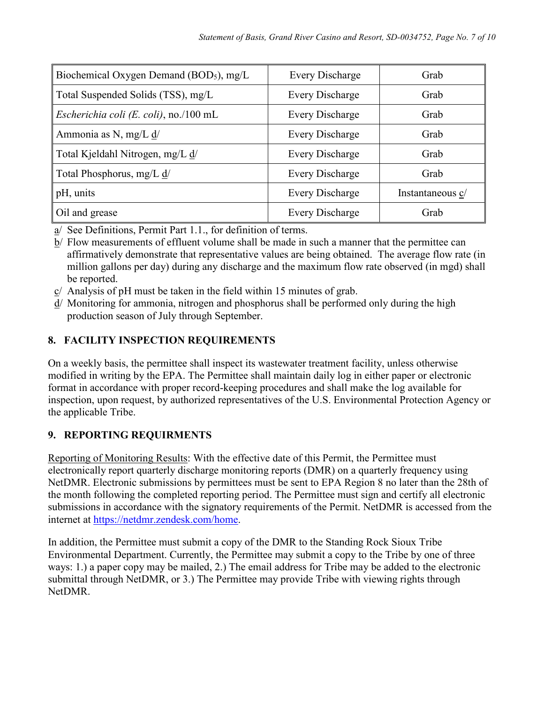| Biochemical Oxygen Demand (BOD <sub>5</sub> ), mg/L | Every Discharge        | Grab             |
|-----------------------------------------------------|------------------------|------------------|
| Total Suspended Solids (TSS), mg/L                  | <b>Every Discharge</b> | Grab             |
| <i>Escherichia coli (E. coli)</i> , no./100 mL      | <b>Every Discharge</b> | Grab             |
| Ammonia as N, mg/L d/                               | <b>Every Discharge</b> | Grab             |
| Total Kjeldahl Nitrogen, mg/L d/                    | <b>Every Discharge</b> | Grab             |
| Total Phosphorus, mg/L d/                           | <b>Every Discharge</b> | Grab             |
| pH, units                                           | <b>Every Discharge</b> | Instantaneous c/ |
| Oil and grease                                      | <b>Every Discharge</b> | Grab             |

a/ See Definitions, Permit Part 1.1., for definition of terms.

b/ Flow measurements of effluent volume shall be made in such a manner that the permittee can affirmatively demonstrate that representative values are being obtained. The average flow rate (in million gallons per day) during any discharge and the maximum flow rate observed (in mgd) shall be reported.

- c/ Analysis of pH must be taken in the field within 15 minutes of grab.
- d/ Monitoring for ammonia, nitrogen and phosphorus shall be performed only during the high production season of July through September.

# **8. FACILITY INSPECTION REQUIREMENTS**

On a weekly basis, the permittee shall inspect its wastewater treatment facility, unless otherwise modified in writing by the EPA. The Permittee shall maintain daily log in either paper or electronic format in accordance with proper record-keeping procedures and shall make the log available for inspection, upon request, by authorized representatives of the U.S. Environmental Protection Agency or the applicable Tribe.

# **9. REPORTING REQUIRMENTS**

Reporting of Monitoring Results: With the effective date of this Permit, the Permittee must electronically report quarterly discharge monitoring reports (DMR) on a quarterly frequency using NetDMR. Electronic submissions by permittees must be sent to EPA Region 8 no later than the 28th of the month following the completed reporting period. The Permittee must sign and certify all electronic submissions in accordance with the signatory requirements of the Permit. NetDMR is accessed from the internet at [https://netdmr.zendesk.com/home.](https://netdmr.zendesk.com/home)

In addition, the Permittee must submit a copy of the DMR to the Standing Rock Sioux Tribe Environmental Department. Currently, the Permittee may submit a copy to the Tribe by one of three ways: 1.) a paper copy may be mailed, 2.) The email address for Tribe may be added to the electronic submittal through NetDMR, or 3.) The Permittee may provide Tribe with viewing rights through NetDMR.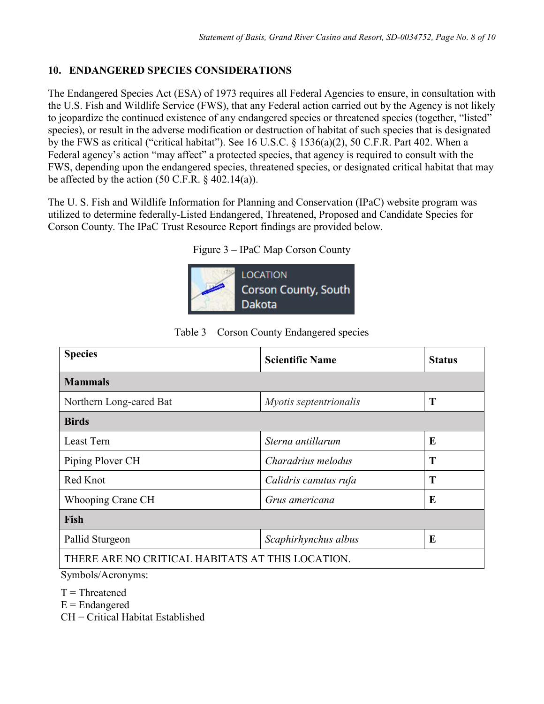### **10. ENDANGERED SPECIES CONSIDERATIONS**

The Endangered Species Act (ESA) of 1973 requires all Federal Agencies to ensure, in consultation with the U.S. Fish and Wildlife Service (FWS), that any Federal action carried out by the Agency is not likely to jeopardize the continued existence of any endangered species or threatened species (together, "listed" species), or result in the adverse modification or destruction of habitat of such species that is designated by the FWS as critical ("critical habitat"). See 16 U.S.C. § 1536(a)(2), 50 C.F.R. Part 402. When a Federal agency's action "may affect" a protected species, that agency is required to consult with the FWS, depending upon the endangered species, threatened species, or designated critical habitat that may be affected by the action  $(50 \text{ C.F.R. } § 402.14(a))$ .

The U. S. Fish and Wildlife Information for Planning and Conservation (IPaC) website program was utilized to determine federally-Listed Endangered, Threatened, Proposed and Candidate Species for Corson County. The IPaC Trust Resource Report findings are provided below.

| Figure 3 – IPaC Map Corson County |  |
|-----------------------------------|--|
|-----------------------------------|--|



| <b>Species</b>                                   | <b>Scientific Name</b> | <b>Status</b> |
|--------------------------------------------------|------------------------|---------------|
| <b>Mammals</b>                                   |                        |               |
| Northern Long-eared Bat                          | Myotis septentrionalis | T             |
| <b>Birds</b>                                     |                        |               |
| Least Tern                                       | Sterna antillarum      | E             |
| Piping Plover CH                                 | Charadrius melodus     | T             |
| Red Knot                                         | Calidris canutus rufa  | T             |
| Whooping Crane CH                                | Grus americana         | E             |
| <b>Fish</b>                                      |                        |               |
| Pallid Sturgeon                                  | Scaphirhynchus albus   | E             |
| THERE ARE NO CRITICAL HABITATS AT THIS LOCATION. |                        |               |

Table 3 – Corson County Endangered species

Symbols/Acronyms:

 $T = Threatened$ 

 $E =$ Endangered

CH = Critical Habitat Established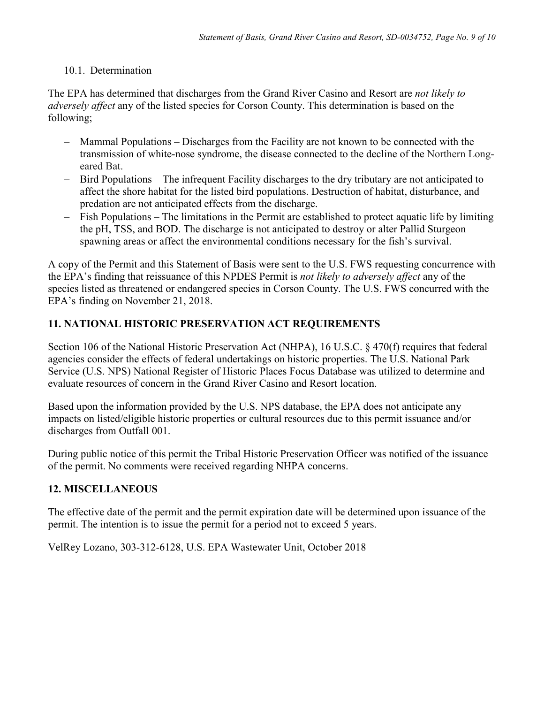### 10.1. Determination

The EPA has determined that discharges from the Grand River Casino and Resort are *not likely to adversely affect* any of the listed species for Corson County. This determination is based on the following;

- − Mammal Populations Discharges from the Facility are not known to be connected with the transmission of white-nose syndrome, the disease connected to the decline of the Northern Longeared Bat.
- − Bird Populations The infrequent Facility discharges to the dry tributary are not anticipated to affect the shore habitat for the listed bird populations. Destruction of habitat, disturbance, and predation are not anticipated effects from the discharge.
- Fish Populations The limitations in the Permit are established to protect aquatic life by limiting the pH, TSS, and BOD. The discharge is not anticipated to destroy or alter Pallid Sturgeon spawning areas or affect the environmental conditions necessary for the fish's survival.

A copy of the Permit and this Statement of Basis were sent to the U.S. FWS requesting concurrence with the EPA's finding that reissuance of this NPDES Permit is *not likely to adversely affect* any of the species listed as threatened or endangered species in Corson County. The U.S. FWS concurred with the EPA's finding on November 21, 2018.

# **11. NATIONAL HISTORIC PRESERVATION ACT REQUIREMENTS**

Section 106 of the National Historic Preservation Act (NHPA), 16 U.S.C. § 470(f) requires that federal agencies consider the effects of federal undertakings on historic properties. The U.S. National Park Service (U.S. NPS) National Register of Historic Places Focus Database was utilized to determine and evaluate resources of concern in the Grand River Casino and Resort location.

Based upon the information provided by the U.S. NPS database, the EPA does not anticipate any impacts on listed/eligible historic properties or cultural resources due to this permit issuance and/or discharges from Outfall 001.

During public notice of this permit the Tribal Historic Preservation Officer was notified of the issuance of the permit. No comments were received regarding NHPA concerns.

# **12. MISCELLANEOUS**

The effective date of the permit and the permit expiration date will be determined upon issuance of the permit. The intention is to issue the permit for a period not to exceed 5 years.

VelRey Lozano, 303-312-6128, U.S. EPA Wastewater Unit, October 2018